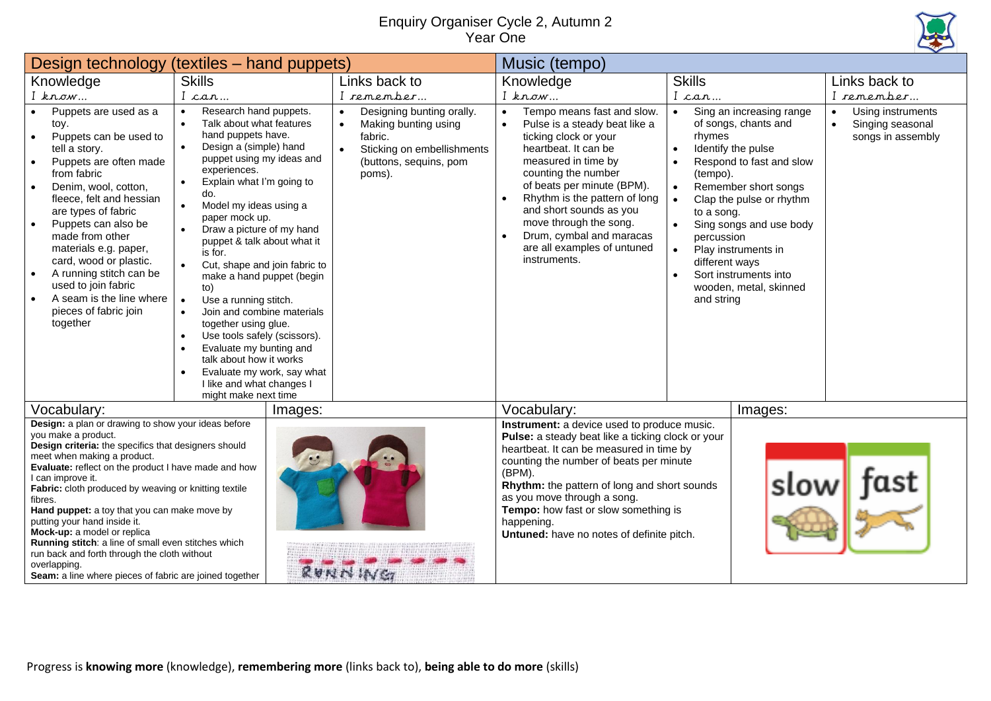## Enquiry Organiser Cycle 2, Autumn 2 Year One



|                                                                                                                                                                                                                                                                                                                                                                                                                                                                                                                                                                                                                     | Design technology (textiles - hand puppets)                                                                                                                                                                                                                                                                                                                                                                                                                                                                                                                                                                                                                                                                                                                                        |                                                                                                                                                          | Music (tempo)                                                                                                                                                                                                                                                                                                                                                                               |                                                                                                                                                                                                                                                                                                                                                                                      |                                                                                      |  |
|---------------------------------------------------------------------------------------------------------------------------------------------------------------------------------------------------------------------------------------------------------------------------------------------------------------------------------------------------------------------------------------------------------------------------------------------------------------------------------------------------------------------------------------------------------------------------------------------------------------------|------------------------------------------------------------------------------------------------------------------------------------------------------------------------------------------------------------------------------------------------------------------------------------------------------------------------------------------------------------------------------------------------------------------------------------------------------------------------------------------------------------------------------------------------------------------------------------------------------------------------------------------------------------------------------------------------------------------------------------------------------------------------------------|----------------------------------------------------------------------------------------------------------------------------------------------------------|---------------------------------------------------------------------------------------------------------------------------------------------------------------------------------------------------------------------------------------------------------------------------------------------------------------------------------------------------------------------------------------------|--------------------------------------------------------------------------------------------------------------------------------------------------------------------------------------------------------------------------------------------------------------------------------------------------------------------------------------------------------------------------------------|--------------------------------------------------------------------------------------|--|
| Knowledge                                                                                                                                                                                                                                                                                                                                                                                                                                                                                                                                                                                                           | <b>Skills</b>                                                                                                                                                                                                                                                                                                                                                                                                                                                                                                                                                                                                                                                                                                                                                                      | Links back to                                                                                                                                            | Knowledge                                                                                                                                                                                                                                                                                                                                                                                   | <b>Skills</b>                                                                                                                                                                                                                                                                                                                                                                        | Links back to                                                                        |  |
| $I$ know                                                                                                                                                                                                                                                                                                                                                                                                                                                                                                                                                                                                            | I can                                                                                                                                                                                                                                                                                                                                                                                                                                                                                                                                                                                                                                                                                                                                                                              | I remember                                                                                                                                               | $I$ know                                                                                                                                                                                                                                                                                                                                                                                    | I can                                                                                                                                                                                                                                                                                                                                                                                | I remember                                                                           |  |
| Puppets are used as a<br>toy.<br>Puppets can be used to<br>$\bullet$<br>tell a story.<br>Puppets are often made<br>$\bullet$<br>from fabric<br>Denim, wool, cotton,<br>fleece, felt and hessian<br>are types of fabric<br>Puppets can also be<br>$\bullet$<br>made from other<br>materials e.g. paper,<br>card, wood or plastic.<br>A running stitch can be<br>$\bullet$<br>used to join fabric<br>A seam is the line where<br>pieces of fabric join<br>together                                                                                                                                                    | Research hand puppets.<br>$\bullet$<br>Talk about what features<br>$\bullet$<br>hand puppets have.<br>$\bullet$<br>Design a (simple) hand<br>puppet using my ideas and<br>experiences.<br>Explain what I'm going to<br>$\bullet$<br>do.<br>Model my ideas using a<br>$\bullet$<br>paper mock up.<br>Draw a picture of my hand<br>$\bullet$<br>puppet & talk about what it<br>is for.<br>Cut, shape and join fabric to<br>$\bullet$<br>make a hand puppet (begin<br>to)<br>Use a running stitch.<br>$\bullet$<br>Join and combine materials<br>$\bullet$<br>together using glue.<br>Use tools safely (scissors).<br>$\bullet$<br>Evaluate my bunting and<br>talk about how it works<br>Evaluate my work, say what<br>$\bullet$<br>I like and what changes I<br>might make next time | Designing bunting orally.<br>Making bunting using<br>$\bullet$<br>fabric.<br>Sticking on embellishments<br>$\bullet$<br>(buttons, sequins, pom<br>poms). | Tempo means fast and slow.<br>Pulse is a steady beat like a<br>ticking clock or your<br>heartbeat. It can be<br>measured in time by<br>counting the number<br>of beats per minute (BPM).<br>Rhythm is the pattern of long<br>and short sounds as you<br>move through the song.<br>Drum, cymbal and maracas<br>are all examples of untuned<br>instruments.                                   | Sing an increasing range<br>$\bullet$<br>of songs, chants and<br>rhymes<br>Identify the pulse<br>$\bullet$<br>Respond to fast and slow<br>(tempo).<br>Remember short songs<br>$\bullet$<br>Clap the pulse or rhythm<br>to a song.<br>Sing songs and use body<br>percussion<br>Play instruments in<br>different ways<br>Sort instruments into<br>wooden, metal, skinned<br>and string | Using instruments<br>$\bullet$<br>Singing seasonal<br>$\bullet$<br>songs in assembly |  |
| Vocabulary:                                                                                                                                                                                                                                                                                                                                                                                                                                                                                                                                                                                                         | Images:                                                                                                                                                                                                                                                                                                                                                                                                                                                                                                                                                                                                                                                                                                                                                                            |                                                                                                                                                          | Vocabulary:                                                                                                                                                                                                                                                                                                                                                                                 | Images:                                                                                                                                                                                                                                                                                                                                                                              |                                                                                      |  |
| Design: a plan or drawing to show your ideas before<br>you make a product.<br>Design criteria: the specifics that designers should<br>meet when making a product.<br>Evaluate: reflect on the product I have made and how<br>I can improve it.<br>Fabric: cloth produced by weaving or knitting textile<br>fibres.<br>Hand puppet: a toy that you can make move by<br>putting your hand inside it.<br>Mock-up: a model or replica<br>Running stitch: a line of small even stitches which<br>run back and forth through the cloth without<br>overlapping.<br>Seam: a line where pieces of fabric are joined together |                                                                                                                                                                                                                                                                                                                                                                                                                                                                                                                                                                                                                                                                                                                                                                                    | RUNNING                                                                                                                                                  | Instrument: a device used to produce music.<br>Pulse: a steady beat like a ticking clock or your<br>heartbeat. It can be measured in time by<br>counting the number of beats per minute<br>(BPM).<br>slow<br>Rhythm: the pattern of long and short sounds<br>as you move through a song.<br>Tempo: how fast or slow something is<br>happening.<br>Untuned: have no notes of definite pitch. |                                                                                                                                                                                                                                                                                                                                                                                      | fast                                                                                 |  |